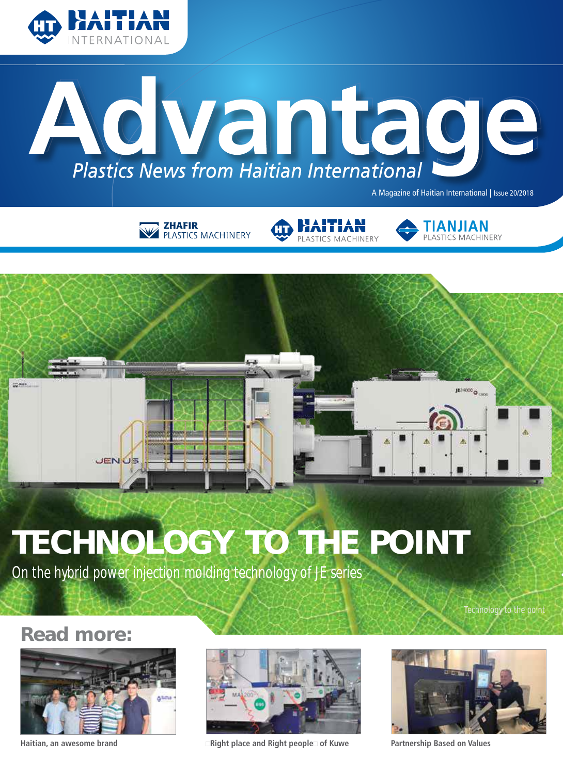



A Magazine of Haitian International | Issue 20/2018









# TECHNOLOGY TO THE POINT

On the hybrid power injection molding technology of JE series

Technology to the point

# Read more:





**Haitian, an awesome brand "Right place and Right people" of Kuwe Partnership Based on Values**

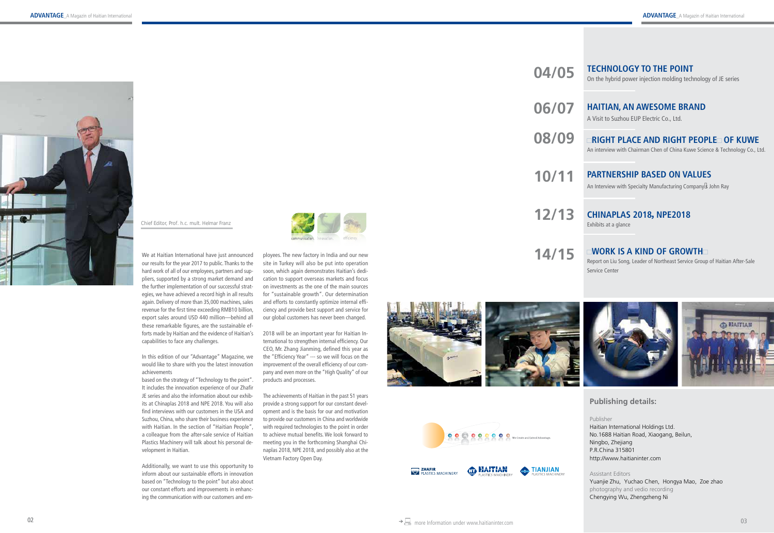# **Publishing details:**

Publisher

Haitian International Holdings Ltd. No.1688 Haitian Road, Xiaogang, Beilun, Ningbo, Zhejiang P.R.China 315801 http://www.haitianinter.com

Assistant Editors Yuanjie Zhu, Yuchao Chen, Hongya Mao, Zoe zhao photography and vedio recording Chengying Wu, Zhengzheng Ni

**04/05**

**06/07**

**08/09**

**10/11**

**12/13**

# **TECHNOLOGY TO THE POINT**

On the hybrid power injection molding technology of JE series

# **HAITIAN, AN AWESOME BRAND**

A Visit to Suzhou EUP Electric Co., Ltd.

# **"RIGHT PLACE AND RIGHT PEOPLE" OF KUWE**

An interview with Chairman Chen of China Kuwe Science & Technology Co., Ltd.

# **PARTNERSHIP BASED ON VALUES**

An Interview with Specialty Manufacturing Company's John Ray

# **CHINAPLAS 2018 ,NPE2018**

Exhibits at a glance

# **"WORK IS A KIND OF GROWTH"**

Report on Liu Song, Leader of Northeast Service Group of Haitian After-Sale Service Center

**14/15**



*Chief Editor, Prof. h.c. mult. Helmar Franz*

We at Haitian International have just announced our results for the year 2017 to public. Thanks to the hard work of all of our employees, partners and sup pliers, supported by a strong market demand and the further implementation of our successful strat egies, we have achieved a record high in all results again. Delivery of more than 35,000 machines, sales revenue for the first time exceeding RMB10 billion, export sales around USD 440 million—behind all these remarkable figures, are the sustainable ef forts made by Haitian and the evidence of Haitian's capabilities to face any challenges.

In this edition of our "Advantage" Magazine, we would like to share with you the latest innovation achievements

based on the strategy of "Technology to the point". It includes the innovation experience of our Zhafir JE series and also the information about our exhib its at Chinaplas 2018 and NPE 2018. You will also find interviews with our customers in the USA and Suzhou, China, who share their business experience with Haitian. In the section of "Haitian People", a colleague from the after-sale service of Haitian Plastics Machinery will talk about his personal de velopment in Haitian.

Additionally, we want to use this opportunity to inform about our sustainable efforts in innovation based on "Technology to the point" but also about our constant efforts and improvements in enhanc ing the communication with our customers and em -



ployees. The new factory in India and our new site in Turkey will also be put into operation soon, which again demonstrates Haitian's dedi cation to support overseas markets and focus on investments as the one of the main sources for "sustainable growth". Our determination and efforts to constantly optimize internal effi ciency and provide best support and service for our global customers has never been changed.

2018 will be an important year for Haitian In ternational to strengthen internal efficiency. Our CEO, Mr. Zhang Jianming, defined this year as the "Efficiency Year" --- so we will focus on the improvement of the overall efficiency of our com pany and even more on the "High Quality" of our products and processes.

The achievements of Haitian in the past 51 years provide a strong support for our constant devel opment and is the basis for our and motivation to provide our customers in China and worldwide with required technologies to the point in order to achieve mutual benefits. We look forward to meeting you in the forthcoming Shanghai Chi naplas 2018, NPE 2018, and possibly also at the Vietnam Factory Open Day.





**CD** HAITIAN

TIANJIAN

**EHAFIR**<br>**ELASTICS MACHINER**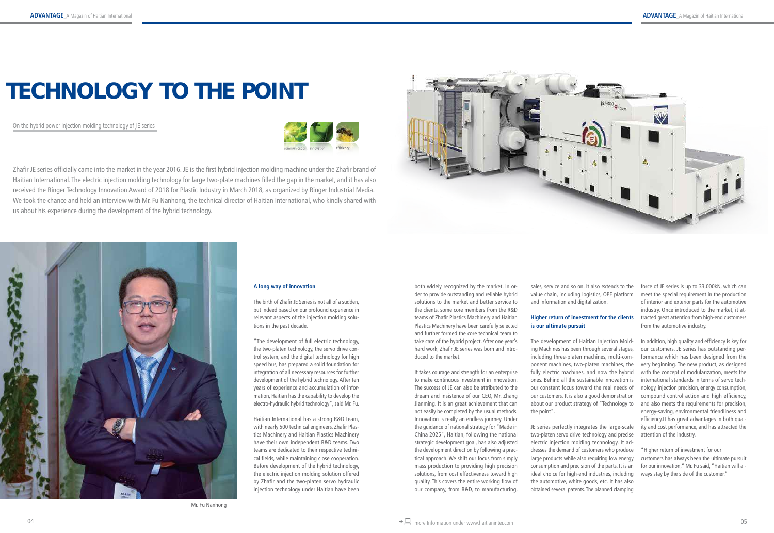# TECHNOLOGY TO THE POINT

On the hybrid power injection molding technology of JE series



Zhafir JE series officially came into the market in the year 2016. JE is the first hybrid injection molding machine under the Zhafir brand of Haitian International. The electric injection molding technology for large two-plate machines filled the gap in the market, and it has also received the Ringer Technology Innovation Award of 2018 for Plastic Industry in March 2018, as organized by Ringer Industrial Media. We took the chance and held an interview with Mr. Fu Nanhong, the technical director of Haitian International, who kindly shared with us about his experience during the development of the hybrid technology.





**A long way of innovation**

The birth of Zhafir JE Series is not all of a sudden, but indeed based on our profound experience in relevant aspects of the injection molding solutions in the past decade.

"The development of full electric technology, the two-platen technology, the servo drive control system, and the digital technology for high speed bus, has prepared a solid foundation for integration of all necessary resources for further development of the hybrid technology. After ten years of experience and accumulation of information, Haitian has the capability to develop the electro-hydraulic hybrid technology", said Mr. Fu.

Haitian International has a strong R&D team, with nearly 500 technical engineers. Zhafir Plastics Machinery and Haitian Plastics Machinery have their own independent R&D teams. Two teams are dedicated to their respective technical fields, while maintaining close cooperation. Before development of the hybrid technology, the electric injection molding solution offered by Zhafir and the two-platen servo hydraulic injection technology under Haitian have been both widely recognized by the market. In order to provide outstanding and reliable hybrid solutions to the market and better service to the clients, some core members from the R&D teams of Zhafir Plastics Machinery and Haitian Plastics Machinery have been carefully selected and further formed the core technical team to take care of the hybrid project. After one year's hard work, Zhafir JE series was born and introduced to the market.

**Higher return of investment for the clients** tracted great attention from high-end customers force of JE series is up to 33,000kN, which can meet the special requirement in the production of interior and exterior parts for the automotive industry. Once introduced to the market, it atfrom the automotive industry.

It takes courage and strength for an enterprise to make continuous investment in innovation. The success of JE can also be attributed to the dream and insistence of our CEO, Mr. Zhang Jianming. It is an great achievement that can not easily be completed by the usual methods. Innovation is really an endless journey. Under the guidance of national strategy for "Made in China 2025", Haitian, following the national strategic development goal, has also adjusted the development direction by following a practical approach. We shift our focus from simply mass production to providing high precision solutions, from cost effectiveness toward high quality. This covers the entire working flow of our company, from R&D, to manufacturing,

sales, service and so on. It also extends to the value chain, including logistics, OPE platform and information and digitalization.

# **is our ultimate pursuit**

The development of Haitian Injection Molding Machines has been through several stages, including three-platen machines, multi-component machines, two-platen machines, the fully electric machines, and now the hybrid ones. Behind all the sustainable innovation is our constant focus toward the real needs of our customers. It is also a good demonstration about our product strategy of "Technology to the point".

JE series perfectly integrates the large-scale two-platen servo drive technology and precise electric injection molding technology. It addresses the demand of customers who produce large products while also requiring low energy consumption and precision of the parts. It is an ideal choice for high-end industries, including the automotive, white goods, etc. It has also obtained several patents. The planned clamping

In addition, high quality and efficiency is key for our customers. JE series has outstanding performance which has been designed from the very beginning. The new product, as designed with the concept of modularization, meets the international standards in terms of servo technology, injection precision, energy consumption, compound control action and high efficiency, and also meets the requirements for precision, energy-saving, environmental friendliness and efficiency.It has great advantages in both quality and cost performance, and has attracted the attention of the industry.

"Higher return of investment for our customers has always been the ultimate pursuit for our innovation," Mr. Fu said, "Haitian will always stay by the side of the customer."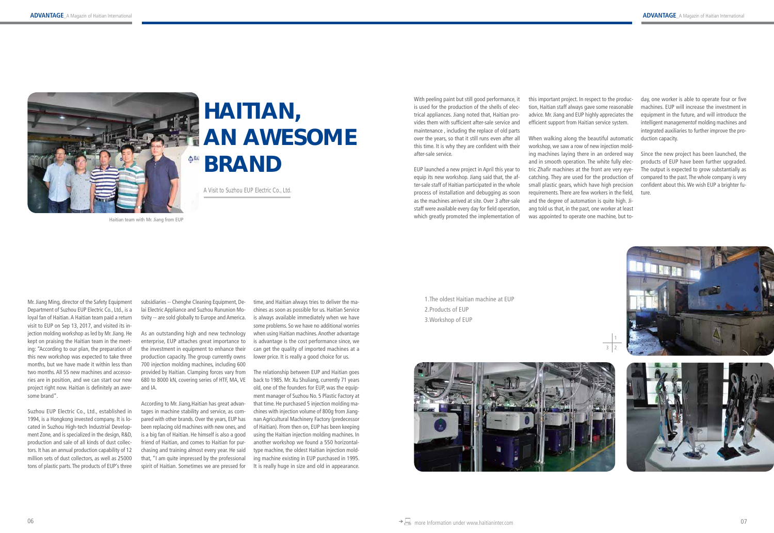Mr. Jiang Ming, director of the Safety Equipment Department of Suzhou EUP Electric Co., Ltd., is a loyal fan of Haitian. A Haitian team paid a return visit to EUP on Sep 13, 2017, and visited its injection molding workshop as led by Mr. Jiang. He kept on praising the Haitian team in the meeting: "According to our plan, the preparation of this new workshop was expected to take three months, but we have made it within less than two months. All 55 new machines and accessories are in position, and we can start our new project right now. Haitian is definitely an awesome brand".

Suzhou EUP Electric Co., Ltd., established in 1994, is a Hongkong invested company. It is located in Suzhou High-tech Industrial Development Zone, and is specialized in the design, R&D, production and sale of all kinds of dust collectors. It has an annual production capability of 12 million sets of dust collectors, as well as 25000 tons of plastic parts. The products of EUP's three

subsidiaries -- Chenghe Cleaning Equipment, Delai Electric Appliance and Suzhou Rununion Motivity -- are sold globally to Europe and America.

> The relationship between EUP and Haitian goes back to 1985. Mr. Xu Shuliang, currently 71 years old, one of the founders for EUP, was the equipment manager of Suzhou No. 5 Plastic Factory at that time. He purchased 5 injection molding machines with injection volume of 800g from Jiangnan Agricultural Machinery Factory (predecessor of Haitian). From then on, EUP has been keeping using the Haitian injection molding machines. In another workshop we found a 550 horizontaltype machine, the oldest Haitian injection molding machine existing in EUP purchased in 1995. It is really huge in size and old in appearance.

As an outstanding high and new technology enterprise, EUP attaches great importance to the investment in equipment to enhance their production capacity. The group currently owns 700 injection molding machines, including 600 provided by Haitian. Clamping forces vary from 680 to 8000 kN, covering series of HTF, MA, VE and IA.

According to Mr. Jiang,Haitian has great advantages in machine stability and service, as compared with other brands. Over the years, EUP has been replacing old machines with new ones, and is a big fan of Haitian. He himself is also a good friend of Haitian, and comes to Haitian for purchasing and training almost every year. He said that, "I am quite impressed by the professional spirit of Haitian. Sometimes we are pressed for

time, and Haitian always tries to deliver the machines as soon as possible for us. Haitian Service is always available immediately when we have some problems. So we have no additional worries when using Haitian machines. Another advantage is advantage is the cost performance since, we can get the quality of imported machines at a lower price. It is really a good choice for us.

# HAITIAN, AN AWESOME BRAND

A Visit to Suzhou EUP Electric Co., Ltd.

With peeling paint but still good performance, it is used for the production of the shells of electrical appliances. Jiang noted that, Haitian provides them with sufficient after-sale service and maintenance , including the replace of old parts over the years, so that it still runs even after all this time. It is why they are confident with their after-sale service.

EUP launched a new project in April this year to equip its new workshop. Jiang said that, the after-sale staff of Haitian participated in the whole process of installation and debugging as soon as the machines arrived at site. Over 3 after-sale staff were available every day for field operation, which greatly promoted the implementation of

this important project. In respect to the production, Haitian staff always gave some reasonable advice. Mr. Jiang and EUP highly appreciates the efficient support from Haitian service system.

When walking along the beautiful automatic workshop, we saw a row of new injection molding machines laying there in an ordered way and in smooth operation. The white fully electric Zhafir machines at the front are very eyecatching. They are used for the production of small plastic gears, which have high precision requirements. There are few workers in the field, and the degree of automation is quite high. Jiang told us that, in the past, one worker at least was appointed to operate one machine, but today, one worker is able to operate four or five machines. EUP will increase the investment in equipment in the future, and will introduce the intelligent managementof molding machines and integrated auxiliaries to further improve the production capacity.

Since the new project has been launched, the products of EUP have been further upgraded. The output is expected to grow substantially as compared to the past. The whole company is very confident about this. We wish EUP a brighter future.



1.The oldest Haitian machine at EUP 2.Products of EUP 3.Workshop of EUP



$$
\begin{array}{c|c}\n\hline\n1 \\
\hline\n3 & 2\n\end{array}
$$





Haitian team with Mr. Jiang from EUP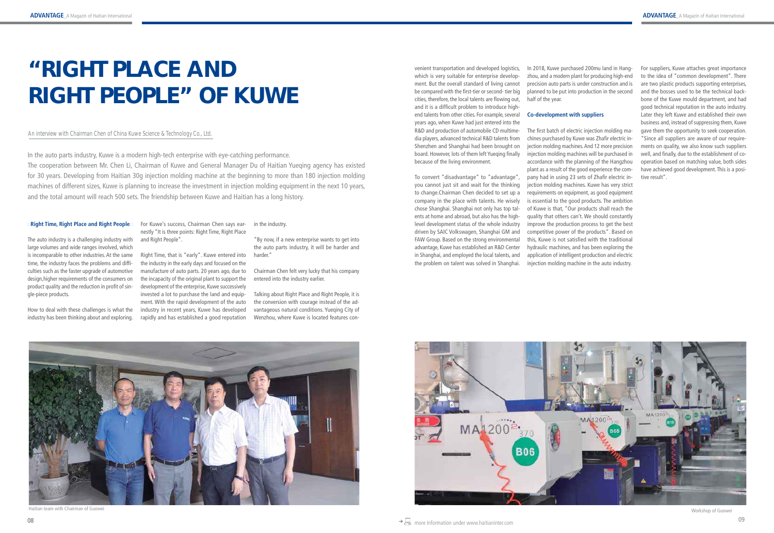### **"Right Time, Right Place and Right People"**

The auto industry is a challenging industry with large volumes and wide ranges involved, which is incomparable to other industries. At the same time, the industry faces the problems and difficulties such as the faster upgrade of automotive design,higher requirements of the consumers on product quality and the reduction in profit of single-piece products.

How to deal with these challenges is what the industry has been thinking about and exploring.

For Kuwe's success, Chairman Chen says earnestly "It is three points: Right Time, Right Place and Right People".

Right Time, that is "early". Kuwe entered into the industry in the early days and focused on the manufacture of auto parts. 20 years ago, due to the incapacity of the original plant to support the development of the enterprise, Kuwe successively invested a lot to purchase the land and equipment. With the rapid development of the auto industry in recent years, Kuwe has developed rapidly and has established a good reputation

in the industry.

"By now, if a new enterprise wants to get into the auto parts industry, it will be harder and harder."

Chairman Chen felt very lucky that his company entered into the industry earlier.

Talking about Right Place and Right People, it is the conversion with courage instead of the advantageous natural conditions. Yueqing City of Wenzhou, where Kuwe is located features con-

# "RIGHT PLACE AND RIGHT PEOPLE" OF KUWE

venient transportation and developed logistics, which is very suitable for enterprise development. But the overall standard of living cannot be compared with the first-tier or second- tier big cities, therefore, the local talents are flowing out, and it is a difficult problem to introduce highend talents from other cities. For example, several years ago, when Kuwe had just entered into the R&D and production of automobile CD multimedia players, advanced technical R&D talents from Shenzhen and Shanghai had been brought on board. However, lots of them left Yueqing finally because of the living environment.

To convert "disadvantage" to "advantage", you cannot just sit and wait for the thinking to change.Chairman Chen decided to set up a company in the place with talents. He wisely chose Shanghai. Shanghai not only has top talents at home and abroad, but also has the highlevel development status of the whole industry driven by SAIC Volkswagen, Shanghai GM and FAW Group. Based on the strong environmental advantage, Kuwe has established an R&D Center in Shanghai, and employed the local talents, and the problem on talent was solved in Shanghai.

### An interview with Chairman Chen of China Kuwe Science & Technology Co., Ltd.

In 2018, Kuwe purchased 200mu land in Hangzhou, and a modern plant for producing high-end precision auto parts is under construction and is planned to be put into production in the second half of the year.

### **Co-development with suppliers**

The first batch of electric injection molding machines purchased by Kuwe was Zhafir electric injection molding machines. And 12 more precision injection molding machines will be purchased in accordance with the planning of the Hangzhou plant as a result of the good experience the company had in using 23 sets of Zhafir electric injection molding machines. Kuwe has very strict requirements on equipment, as good equipment is essential to the good products. The ambition of Kuwe is that, "Our products shall reach the quality that others can't. We should constantly improve the production process to get the best competitive power of the products". Based on this, Kuwe is not satisfied with the traditional hydraulic machines, and has been exploring the application of intelligent production and electric injection molding machine in the auto industry.



For suppliers, Kuwe attaches great importance to the idea of "common development". There are two plastic products supporting enterprises, and the bosses used to be the technical backbone of the Kuwe mould department, and had good technical reputation in the auto industry. Later they left Kuwe and established their own business and, instead of suppressing them, Kuwe gave them the opportunity to seek cooperation. "Since all suppliers are aware of our requirements on quality, we also know such suppliers well, and finally, due to the establishment of cooperation based on matching value, both sides have achieved good development. This is a positive result".



In the auto parts industry, Kuwe is a modern high-tech enterprise with eye-catching performance.

The cooperation between Mr. Chen Li, Chairman of Kuwe and General Manager Du of Haitian Yueqing agency has existed for 30 years. Developing from Haitian 30g injection molding machine at the beginning to more than 180 injection molding machines of different sizes, Kuwe is planning to increase the investment in injection molding equipment in the next 10 years, and the total amount will reach 500 sets. The friendship between Kuwe and Haitian has a long history.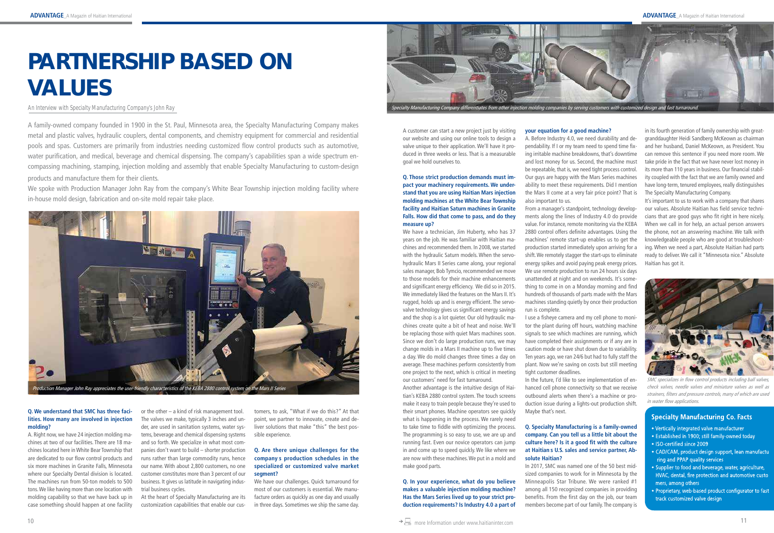A family-owned company founded in 1900 in the St. Paul, Minnesota area, the Specialty Manufacturing Company makes metal and plastic valves, hydraulic couplers, dental components, and chemistry equipment for commercial and residential pools and spas. Customers are primarily from industries needing customized flow control products such as automotive, water purification, and medical, beverage and chemical dispensing. The company's capabilities span a wide spectrum encompassing machining, stamping, injection molding and assembly that enable Specialty Manufacturing to custom-design products and manufacture them for their clients.

We spoke with Production Manager John Ray from the company's White Bear Township injection molding facility where in-house mold design, fabrication and on-site mold repair take place.

# PARTNERSHIP BASED ON VALUES

#### **Q. We understand that SMC has three facilities. How many are involved in injection molding?**

A. Right now, we have 24 injection molding machines at two of our facilities. There are 18 machines located here in White Bear Township that are dedicated to our flow control products and six more machines in Granite Falls, Minnesota where our Specialty Dental division is located. The machines run from 50-ton models to 500 tons. We like having more than one location with molding capability so that we have back up in case something should happen at one facility or the other – a kind of risk management tool. The valves we make, typically 3 inches and under, are used in sanitation systems, water systems, beverage and chemical dispensing systems and so forth. We specialize in what most companies don't want to build – shorter production runs rather than large commodity runs, hence our name. With about 2,800 customers, no one customer constitutes more than 3 percent of our business. It gives us latitude in navigating industrial business cycles.

At the heart of Specialty Manufacturing are its customization capabilities that enable our cus-

tomers, to ask, "What if we do this?" At that point, we partner to innovate, create and deliver solutions that make "this" the best possible experience.

### **Q. Are there unique challenges for the company's production schedules in the specialized or customized valve market segment?**

We have our challenges. Quick turnaround for most of our customers is essential. We manufacture orders as quickly as one day and usually in three days. Sometimes we ship the same day. A customer can start a new project just by visiting our website and using our online tools to design a valve unique to their application. We'll have it produced in three weeks or less. That is a measurable goal we hold ourselves to.

### **Q. Those strict production demands must impact your machinery requirements. We understand that you are using Haitian Mars injection molding machines at the White Bear Township facility and Haitian Saturn machines in Granite Falls. How did that come to pass, and do they measure up?**

We have a technician, Jim Huberty, who has 37 years on the job. He was familiar with Haitian machines and recommended them. In 2008, we started with the hydraulic Saturn models. When the servohydraulic Mars II Series came along, your regional sales manager, Bob Tymcio, recommended we move to those models for their machine enhancements and significant energy efficiency. We did so in 2015. We immediately liked the features on the Mars II. It's rugged, holds up and is energy efficient. The servovalve technology gives us significant energy savings and the shop is a lot quieter. Our old hydraulic machines create quite a bit of heat and noise. We'll be replacing those with quiet Mars machines soon. Since we don't do large production runs, we may change molds in a Mars II machine up to five times a day. We do mold changes three times a day on average. These machines perform consistently from one project to the next, which is critical in meeting our customers' need for fast turnaround.

Another advantage is the intuitive design of Haitian's KEBA 2880 control system. The touch screens make it easy to train people because they're used to their smart phones. Machine operators see quickly what is happening in the process. We rarely need to take time to fiddle with optimizing the process. The programming is so easy to use, we are up and running fast. Even our novice operators can jump in and come up to speed quickly. We like where we are now with these machines. We put in a mold and make good parts.

### **Q. In your experience, what do you believe makes a valuable injection molding machine? Has the Mars Series lived up to your strict production requirements? Is Industry 4.0 a part of**



### An Interview with Specialty Manufacturing Company's John Ray

### **your equation for a good machine?** A. Before Industry 4.0, we need durability and dependability. If I or my team need to spend time fixing irritable machine breakdowns, that's downtime and lost money for us. Second, the machine must be repeatable, that is, we need tight process control. Our guys are happy with the Mars Series machines ability to meet these requirements. Did I mention the Mars II come at a very fair price point? That is also important to us.

From a manager's standpoint, technology developments along the lines of Industry 4.0 do provide value. For instance, remote monitoring via the KEBA 2880 control offers definite advantages. Using the machines' remote start-up enables us to get the production started immediately upon arriving for a shift. We remotely stagger the start-ups to eliminate energy spikes and avoid paying peak energy prices. We use remote production to run 24 hours six days unattended at night and on weekends. It's something to come in on a Monday morning and find hundreds of thousands of parts made with the Mars machines standing quietly by once their production run is complete.

I use a fisheye camera and my cell phone to monitor the plant during off hours, watching machine signals to see which machines are running, which have completed their assignments or if any are in caution mode or have shut down due to variability. Ten years ago, we ran 24/6 but had to fully staff the plant. Now we're saving on costs but still meeting tight customer deadlines.

In the future, I'd like to see implementation of enhanced cell phone connectivity so that we receive outbound alerts when there's a machine or production issue during a lights-out production shift. Maybe that's next.

### **Q. Specialty Manufacturing is a family-owned company. Can you tell us a little bit about the culture here? Is it a good fit with the culture at Haitian's U.S. sales and service partner, Absolute Haitian?**

In 2017, SMC was named one of the 50 best midsized companies to work for in Minnesota by the Minneapolis Star Tribune. We were ranked #1 among all 150 recognized companies in providing benefits. From the first day on the job, our team members become part of our family. The company is

in its fourth generation of family ownership with greatgranddaughter Heidi Sandberg McKeown as chairman and her husband, Daniel McKeown, as President. You can remove this sentence if you need more room. We take pride in the fact that we have never lost money in its more than 110 years in business. Our financial stability coupled with the fact that we are family owned and have long-term, tenured employees, really distinguishes The Specialty Manufacturing Company.

It's important to us to work with a company that shares our values. Absolute Haitian has field service technicians that are good guys who fit right in here nicely. When we call in for help, an actual person answers the phone, not an answering machine. We talk with knowledgeable people who are good at troubleshooting. When we need a part, Absolute Haitian had parts ready to deliver. We call it "Minnesota nice." Absolute Haitian has got it.





SMC specializes in flow control products including ball valves, check valves, needle valves and miniature valves as well as strainers, filters and pressure controls, many of which are used in water flow applications.

# **Specialty Manufacturing Co. Facts**

- Vertically integrated valve manufacturer
- Established in 1900; still family-owned today
- ISO-certified since 2009
- CAD/CAM, product design support, lean manufactu ring and PPAP quality services
- Supplier to food and beverage, water, agriculture, HVAC, dental, fire protection and automotive custo mers, among others
- Proprietary, web-based product configurator to fast track customized valve design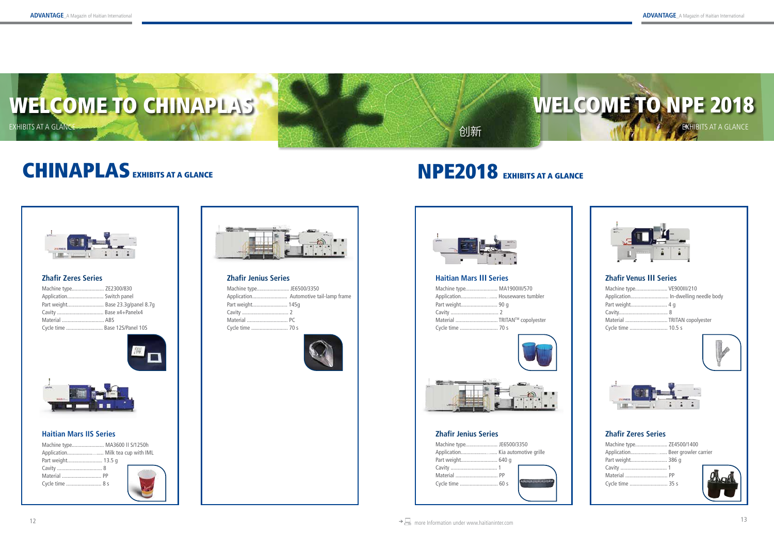



创新

| Machine type VE900III/210           |  |
|-------------------------------------|--|
| Application In-dwelling needle body |  |
| Part weight 4 g                     |  |
|                                     |  |
| Material  TRITAN copolyester        |  |
| Cycle time  10.5 s                  |  |
|                                     |  |





| Machine type JE6500/3350 |                  |
|--------------------------|------------------|
|                          |                  |
| Part weight 640 g        |                  |
|                          |                  |
|                          |                  |
| Cycle time  60 s         | 49-14149-14149-1 |
|                          |                  |

## **Zhafir Jenius Series**

| Machine type MA1900III/570    |  |
|-------------------------------|--|
|                               |  |
|                               |  |
|                               |  |
| Material  TRITAN™ copolyester |  |
|                               |  |



| Machine type ZE4500/1400         |  |
|----------------------------------|--|
| Application Beer growler carrier |  |
| Part weight 386 g                |  |
|                                  |  |
|                                  |  |
| Cycle time  35 s                 |  |
|                                  |  |

# **Zhafir Zeres Series**

| Part weight 145g |  |
|------------------|--|
|                  |  |
| Material  PC     |  |
| Cycle time  70 s |  |
|                  |  |



# NPE2018 EXHIBITS AT A GLANCE



## **Zhafir Jenius Series**

| Machine type MA3600 II S/1250h |  |
|--------------------------------|--|
|                                |  |
| Part weight 13.5 g             |  |
|                                |  |
|                                |  |
| Cycle time  8 s                |  |
|                                |  |



## **Haitian Mars IIS Series**



# CHINAPLAS EXHIBITS AT A GLANCE



| Machine type ZE2300/830           |  |
|-----------------------------------|--|
|                                   |  |
| Part weight Base 23.3g/panel 8.7g |  |
| Cavity  Base x4+Panelx4           |  |
| Material  ABS                     |  |
| Cycle time  Base 12S/Panel 10S    |  |





# **Zhafir Zeres Series Haitian Mars Ⅲ Series Zhafir Venus Ⅲ Series**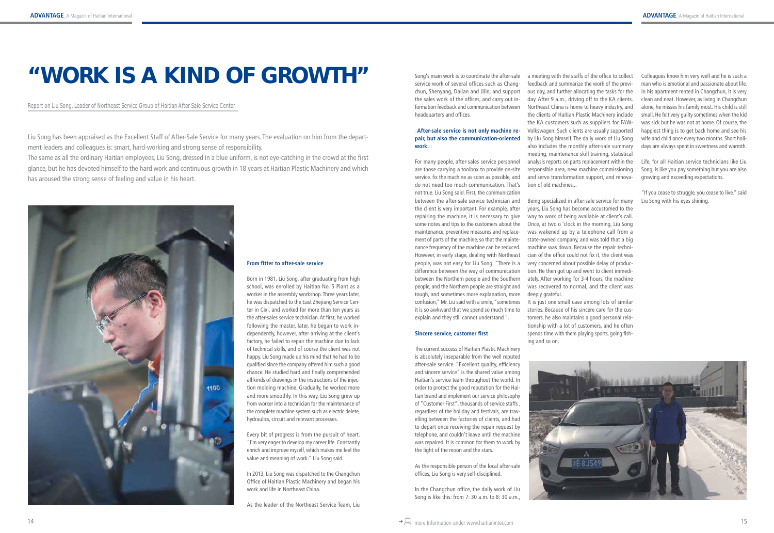#### **From fitter to after-sale service**

Born in 1981, Liu Song, after graduating from high school, was enrolled by Haitian No. 5 Plant as a worker in the assembly workshop. Three years later, he was dispatched to the East Zhejiang Service Center in Cixi, and worked for more than ten years as the after-sales service technician. At first, he worked following the master, later, he began to work independently, however, after arriving at the client's factory, he failed to repair the machine due to lack of technical skills, and of course the client was not happy. Liu Song made up his mind that he had to be qualified since the company offered him such a good chance. He studied hard and finally comprehended all kinds of drawings in the instructions of the injection molding machine. Gradually, he worked more and more smoothly. In this way, Liu Song grew up from worker into a technician for the maintenance of the complete machine system such as electric delete, hydraulics, circuit and relevant processes.

Every bit of progress is from the pursuit of heart. "I'm very eager to develop my career life. Constantly enrich and improve myself, which makes me feel the value and meaning of work." Liu Song said.

In 2013, Liu Song was dispatched to the Changchun Office of Haitian Plastic Machinery and began his work and life in Northeast China.

As the leader of the Northeast Service Team, Liu

Song's main work is to coordinate the after-sale service work of several offices such as Changchun, Shenyang, Dalian and Jilin, and support the sales work of the offices, and carry out information feedback and communication between headquarters and offices.

#### **"After-sale service is not only machine repair, but also the communication-oriented work."**

For many people, after-sales service personnel are those carrying a toolbox to provide on-site service, fix the machine as soon as possible, and do not need too much communication. That's not true. Liu Song said. First, the communication between the after-sale service technician and the client is very important. For example, after repairing the machine, it is necessary to give some notes and tips to the customers about the maintenance, preventive measures and replacement of parts of the machine, so that the maintenance frequency of the machine can be reduced. However, in early stage, dealing with Northeast people, was not easy for Liu Song. "There is a difference between the way of communication between the Northern people and the Southern people, and the Northern people are straight and tough, and sometimes more explanation, more confusion," Mr. Liu said with a smile, "sometimes it is so awkward that we spend so much time to explain and they still cannot understand ".

#### **Sincere service, customer first**

The current success of Haitian Plastic Machinery is absolutely inseparable from the well reputed after-sale service. "Excellent quality, efficiency and sincere service" is the shared value among Haitian's service team throughout the world. In order to protect the good reputation for the Haitian brand and implement our service philosophy of "Customer First", thousands of service staffs , regardless of the holiday and festivals, are travelling between the factories of clients, and had to depart once receiving the repair request by telephone, and couldn't leave until the machine was repaired. It is common for them to work by the light of the moon and the stars.

As the responsible person of the local after-sale offices, Liu Song is very self-disciplined.

In the Changchun office, the daily work of Liu Song is like this: from 7: 30 a.m. to 8: 30 a.m.,

# "WORK IS A KIND OF GROWTH"

Report on Liu Song, Leader of Northeast Service Group of Haitian After-Sale Service Center

a meeting with the staffs of the office to collect feedback and summarize the work of the previous day, and further allocating the tasks for the day. After 9 a.m., driving off to the KA clients. Northeast China is home to heavy industry, and the clients of Haitian Plastic Machinery include the KA customers such as suppliers for FAW-Volkswagen. Such clients are usually supported by Liu Song himself. The daily work of Liu Song also includes the monthly after-sale summary meeting, maintenance skill training, statistical analysis reports on parts replacement within the responsible area, new machine commissioning and servo transformation support, and renovation of old machines...

Being specialized in after-sale service for many years, Liu Song has become accustomed to the way to work of being available at client's call. Once, at two o 'clock in the morning, Liu Song was wakened up by a telephone call from a state-owned company, and was told that a big machine was down. Because the repair technician of the office could not fix it, the client was very concerned about possible delay of production. He then got up and went to client immediately. After working for 3-4 hours, the machine was recovered to normal, and the client was deeply grateful.

It is just one small case among lots of similar stories. Because of his sincere care for the customers, he also maintains a good personal relationship with a lot of customers, and he often spends time with them playing sports, going fishing and so on.



Colleagues know him very well and he is such a man who is emotional and passionate about life. In his apartment rented in Changchun, it is very clean and neat. However, as living in Changchun alone, he misses his family most. His child is still small. He felt very guilty sometimes when the kid was sick but he was not at home. Of course, the happiest thing is to get back home and see his wife and child once every two months. Short holidays are always spent in sweetness and warmth.

Life, for all Haitian service technicians like Liu Song, is like you pay something but you are also growing and exceeding expectations.

"If you cease to struggle, you cease to live," said Liu Song with his eyes shining.

Liu Song has been appraised as the Excellent Staff of After-Sale Service for many years. The evaluation on him from the department leaders and colleagues is: smart, hard-working and strong sense of responsibility.

The same as all the ordinary Haitian employees, Liu Song, dressed in a blue uniform, is not eye-catching in the crowd at the first glance, but he has devoted himself to the hard work and continuous growth in 18 years at Haitian Plastic Machinery and which has aroused the strong sense of feeling and value in his heart.